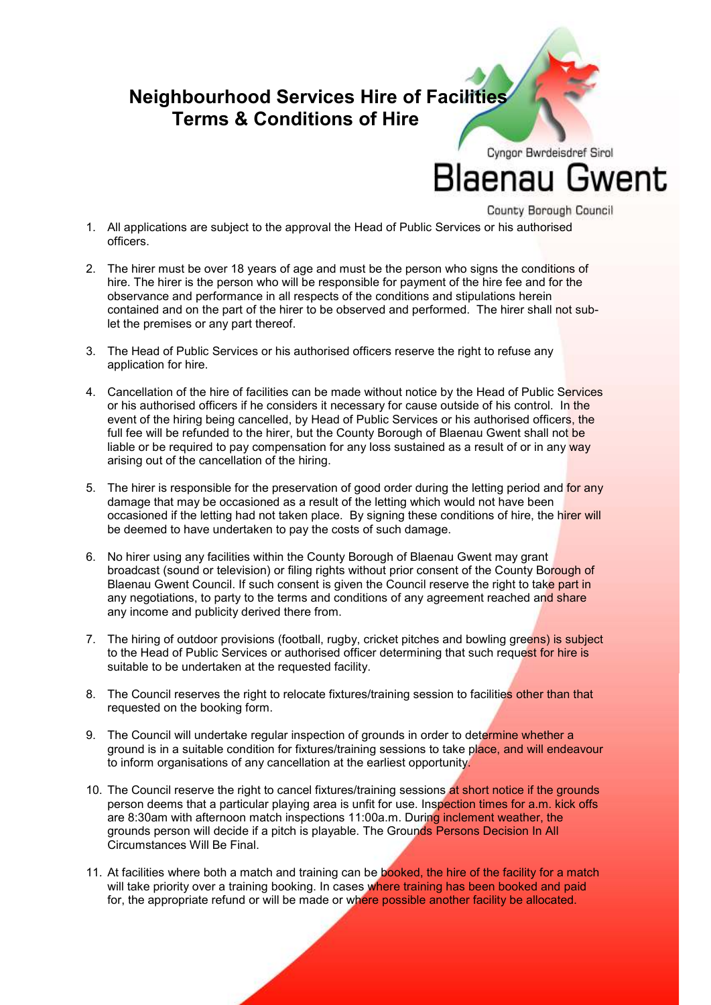## **Neighbourhood Services Hire of Facilities Terms & Conditions of Hire**

Cyngor Bwrdeisdref Sirol

# aenau Gwent

County Borough Council

1. All applications are subject to the approval the Head of Public Services or his authorised officers.

- 2. The hirer must be over 18 years of age and must be the person who signs the conditions of hire. The hirer is the person who will be responsible for payment of the hire fee and for the observance and performance in all respects of the conditions and stipulations herein contained and on the part of the hirer to be observed and performed. The hirer shall not sublet the premises or any part thereof.
- 3. The Head of Public Services or his authorised officers reserve the right to refuse any application for hire.
- 4. Cancellation of the hire of facilities can be made without notice by the Head of Public Services or his authorised officers if he considers it necessary for cause outside of his control. In the event of the hiring being cancelled, by Head of Public Services or his authorised officers, the full fee will be refunded to the hirer, but the County Borough of Blaenau Gwent shall not be liable or be required to pay compensation for any loss sustained as a result of or in any way arising out of the cancellation of the hiring.
- 5. The hirer is responsible for the preservation of good order during the letting period and for any damage that may be occasioned as a result of the letting which would not have been occasioned if the letting had not taken place. By signing these conditions of hire, the hirer will be deemed to have undertaken to pay the costs of such damage.
- 6. No hirer using any facilities within the County Borough of Blaenau Gwent may grant broadcast (sound or television) or filing rights without prior consent of the County Borough of Blaenau Gwent Council. If such consent is given the Council reserve the right to take part in any negotiations, to party to the terms and conditions of any agreement reached and share any income and publicity derived there from.
- 7. The hiring of outdoor provisions (football, rugby, cricket pitches and bowling greens) is subject to the Head of Public Services or authorised officer determining that such request for hire is suitable to be undertaken at the requested facility.
- 8. The Council reserves the right to relocate fixtures/training session to facilities other than that requested on the booking form.
- 9. The Council will undertake regular inspection of grounds in order to determine whether a ground is in a suitable condition for fixtures/training sessions to take place, and will endeavour to inform organisations of any cancellation at the earliest opportunity.
- 10. The Council reserve the right to cancel fixtures/training sessions at short notice if the grounds person deems that a particular playing area is unfit for use. Inspection times for a.m. kick offs are 8:30am with afternoon match inspections 11:00a.m. During inclement weather, the grounds person will decide if a pitch is playable. The Grounds Persons Decision In All Circumstances Will Be Final.
- 11. At facilities where both a match and training can be booked, the hire of the facility for a match will take priority over a training booking. In cases where training has been booked and paid for, the appropriate refund or will be made or where possible another facility be allocated.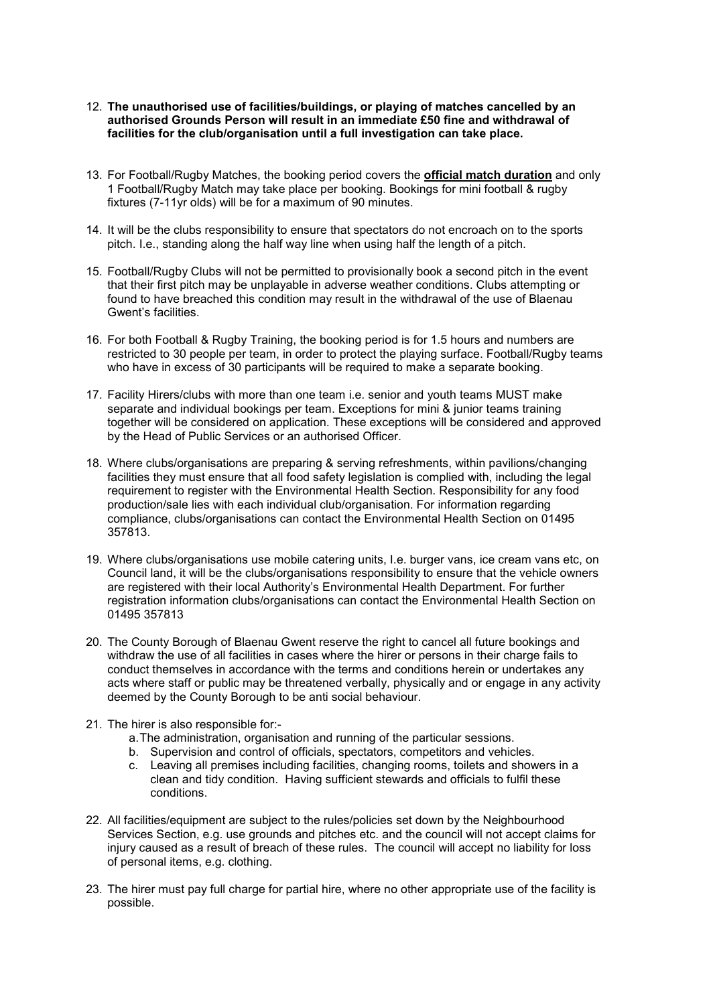- 12. **The unauthorised use of facilities/buildings, or playing of matches cancelled by an authorised Grounds Person will result in an immediate £50 fine and withdrawal of facilities for the club/organisation until a full investigation can take place.**
- 13. For Football/Rugby Matches, the booking period covers the **official match duration** and only 1 Football/Rugby Match may take place per booking. Bookings for mini football & rugby fixtures (7-11yr olds) will be for a maximum of 90 minutes.
- 14. It will be the clubs responsibility to ensure that spectators do not encroach on to the sports pitch. I.e., standing along the half way line when using half the length of a pitch.
- 15. Football/Rugby Clubs will not be permitted to provisionally book a second pitch in the event that their first pitch may be unplayable in adverse weather conditions. Clubs attempting or found to have breached this condition may result in the withdrawal of the use of Blaenau Gwent's facilities.
- 16. For both Football & Rugby Training, the booking period is for 1.5 hours and numbers are restricted to 30 people per team, in order to protect the playing surface. Football/Rugby teams who have in excess of 30 participants will be required to make a separate booking.
- 17. Facility Hirers/clubs with more than one team i.e. senior and youth teams MUST make separate and individual bookings per team. Exceptions for mini & junior teams training together will be considered on application. These exceptions will be considered and approved by the Head of Public Services or an authorised Officer.
- 18. Where clubs/organisations are preparing & serving refreshments, within pavilions/changing facilities they must ensure that all food safety legislation is complied with, including the legal requirement to register with the Environmental Health Section. Responsibility for any food production/sale lies with each individual club/organisation. For information regarding compliance, clubs/organisations can contact the Environmental Health Section on 01495 357813.
- 19. Where clubs/organisations use mobile catering units, I.e. burger vans, ice cream vans etc, on Council land, it will be the clubs/organisations responsibility to ensure that the vehicle owners are registered with their local Authority's Environmental Health Department. For further registration information clubs/organisations can contact the Environmental Health Section on 01495 357813
- 20. The County Borough of Blaenau Gwent reserve the right to cancel all future bookings and withdraw the use of all facilities in cases where the hirer or persons in their charge fails to conduct themselves in accordance with the terms and conditions herein or undertakes any acts where staff or public may be threatened verbally, physically and or engage in any activity deemed by the County Borough to be anti social behaviour.
- 21. The hirer is also responsible for:
	- a. The administration, organisation and running of the particular sessions.
	- b. Supervision and control of officials, spectators, competitors and vehicles.
	- c. Leaving all premises including facilities, changing rooms, toilets and showers in a clean and tidy condition. Having sufficient stewards and officials to fulfil these conditions.
- 22. All facilities/equipment are subject to the rules/policies set down by the Neighbourhood Services Section, e.g. use grounds and pitches etc. and the council will not accept claims for injury caused as a result of breach of these rules. The council will accept no liability for loss of personal items, e.g. clothing.
- 23. The hirer must pay full charge for partial hire, where no other appropriate use of the facility is possible.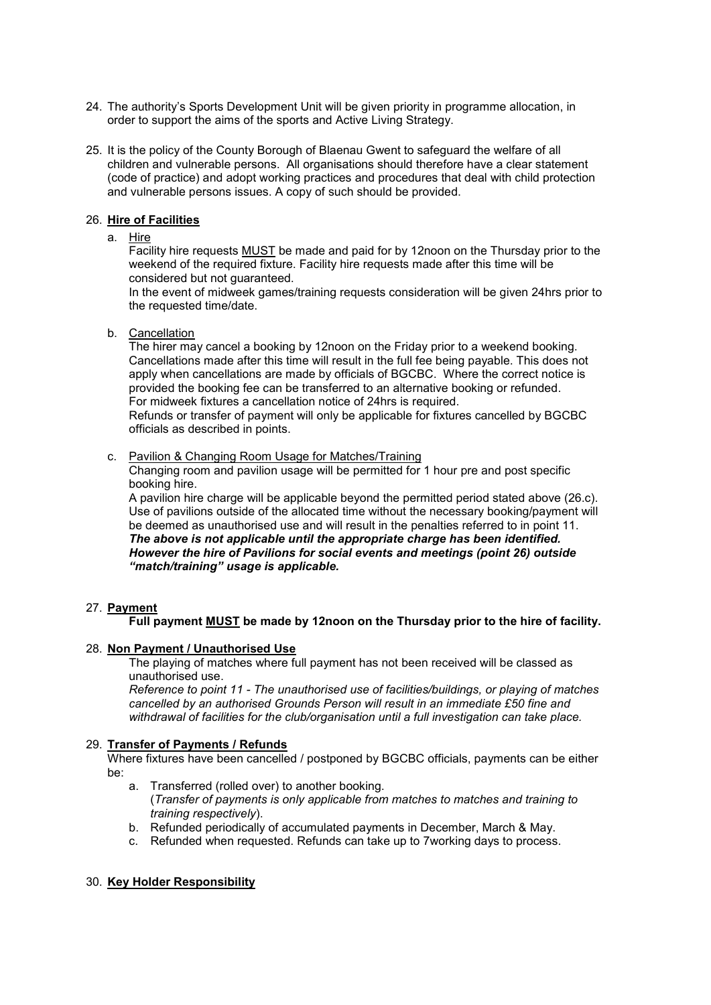- 24. The authority's Sports Development Unit will be given priority in programme allocation, in order to support the aims of the sports and Active Living Strategy.
- 25. It is the policy of the County Borough of Blaenau Gwent to safeguard the welfare of all children and vulnerable persons. All organisations should therefore have a clear statement (code of practice) and adopt working practices and procedures that deal with child protection and vulnerable persons issues. A copy of such should be provided.

#### 26. **Hire of Facilities**

a. Hire

Facility hire requests MUST be made and paid for by 12noon on the Thursday prior to the weekend of the required fixture. Facility hire requests made after this time will be considered but not guaranteed.

In the event of midweek games/training requests consideration will be given 24hrs prior to the requested time/date.

b. Cancellation

 The hirer may cancel a booking by 12noon on the Friday prior to a weekend booking. Cancellations made after this time will result in the full fee being payable. This does not apply when cancellations are made by officials of BGCBC. Where the correct notice is provided the booking fee can be transferred to an alternative booking or refunded. For midweek fixtures a cancellation notice of 24hrs is required.

Refunds or transfer of payment will only be applicable for fixtures cancelled by BGCBC officials as described in points.

c. Pavilion & Changing Room Usage for Matches/Training

Changing room and pavilion usage will be permitted for 1 hour pre and post specific booking hire.

A pavilion hire charge will be applicable beyond the permitted period stated above (26.c). Use of pavilions outside of the allocated time without the necessary booking/payment will be deemed as unauthorised use and will result in the penalties referred to in point 11. *The above is not applicable until the appropriate charge has been identified. However the hire of Pavilions for social events and meetings (point 26) outside "match/training" usage is applicable.* 

#### 27. **Payment**

**Full payment MUST be made by 12noon on the Thursday prior to the hire of facility.** 

#### 28. **Non Payment / Unauthorised Use**

The playing of matches where full payment has not been received will be classed as unauthorised use.

*Reference to point 11 - The unauthorised use of facilities/buildings, or playing of matches cancelled by an authorised Grounds Person will result in an immediate £50 fine and withdrawal of facilities for the club/organisation until a full investigation can take place.* 

#### 29. **Transfer of Payments / Refunds**

Where fixtures have been cancelled / postponed by BGCBC officials, payments can be either be:

- a. Transferred (rolled over) to another booking. (*Transfer of payments is only applicable from matches to matches and training to training respectively*).
- b. Refunded periodically of accumulated payments in December, March & May.
- c. Refunded when requested. Refunds can take up to 7working days to process.

#### 30. **Key Holder Responsibility**